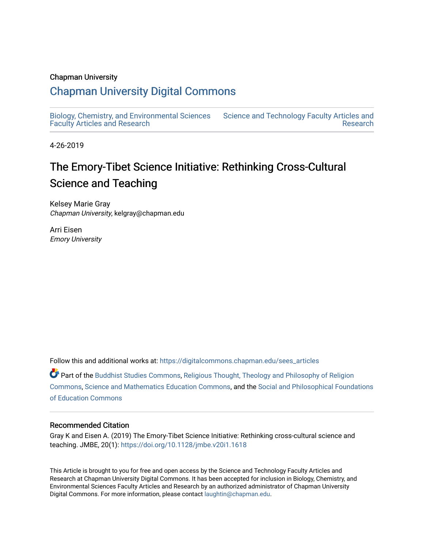#### Chapman University

# [Chapman University Digital Commons](https://digitalcommons.chapman.edu/)

[Biology, Chemistry, and Environmental Sciences](https://digitalcommons.chapman.edu/sees_articles) [Faculty Articles and Research](https://digitalcommons.chapman.edu/sees_articles) [Science and Technology Faculty Articles and](https://digitalcommons.chapman.edu/science_articles)  [Research](https://digitalcommons.chapman.edu/science_articles) 

4-26-2019

# The Emory-Tibet Science Initiative: Rethinking Cross-Cultural Science and Teaching

Kelsey Marie Gray Chapman University, kelgray@chapman.edu

Arri Eisen Emory University

Follow this and additional works at: [https://digitalcommons.chapman.edu/sees\\_articles](https://digitalcommons.chapman.edu/sees_articles?utm_source=digitalcommons.chapman.edu%2Fsees_articles%2F510&utm_medium=PDF&utm_campaign=PDFCoverPages) 

Part of the [Buddhist Studies Commons,](http://network.bepress.com/hgg/discipline/1344?utm_source=digitalcommons.chapman.edu%2Fsees_articles%2F510&utm_medium=PDF&utm_campaign=PDFCoverPages) [Religious Thought, Theology and Philosophy of Religion](http://network.bepress.com/hgg/discipline/544?utm_source=digitalcommons.chapman.edu%2Fsees_articles%2F510&utm_medium=PDF&utm_campaign=PDFCoverPages) [Commons](http://network.bepress.com/hgg/discipline/544?utm_source=digitalcommons.chapman.edu%2Fsees_articles%2F510&utm_medium=PDF&utm_campaign=PDFCoverPages), [Science and Mathematics Education Commons,](http://network.bepress.com/hgg/discipline/800?utm_source=digitalcommons.chapman.edu%2Fsees_articles%2F510&utm_medium=PDF&utm_campaign=PDFCoverPages) and the [Social and Philosophical Foundations](http://network.bepress.com/hgg/discipline/799?utm_source=digitalcommons.chapman.edu%2Fsees_articles%2F510&utm_medium=PDF&utm_campaign=PDFCoverPages) [of Education Commons](http://network.bepress.com/hgg/discipline/799?utm_source=digitalcommons.chapman.edu%2Fsees_articles%2F510&utm_medium=PDF&utm_campaign=PDFCoverPages) 

#### Recommended Citation

Gray K and Eisen A. (2019) The Emory-Tibet Science Initiative: Rethinking cross-cultural science and teaching. JMBE, 20(1): <https://doi.org/10.1128/jmbe.v20i1.1618>

This Article is brought to you for free and open access by the Science and Technology Faculty Articles and Research at Chapman University Digital Commons. It has been accepted for inclusion in Biology, Chemistry, and Environmental Sciences Faculty Articles and Research by an authorized administrator of Chapman University Digital Commons. For more information, please contact [laughtin@chapman.edu](mailto:laughtin@chapman.edu).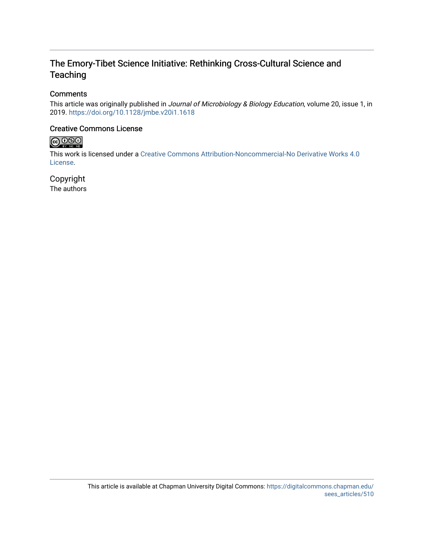# The Emory-Tibet Science Initiative: Rethinking Cross-Cultural Science and **Teaching**

# **Comments**

This article was originally published in Journal of Microbiology & Biology Education, volume 20, issue 1, in 2019. <https://doi.org/10.1128/jmbe.v20i1.1618>

# Creative Commons License



This work is licensed under a [Creative Commons Attribution-Noncommercial-No Derivative Works 4.0](https://creativecommons.org/licenses/by-nc-nd/4.0/) [License](https://creativecommons.org/licenses/by-nc-nd/4.0/).

Copyright The authors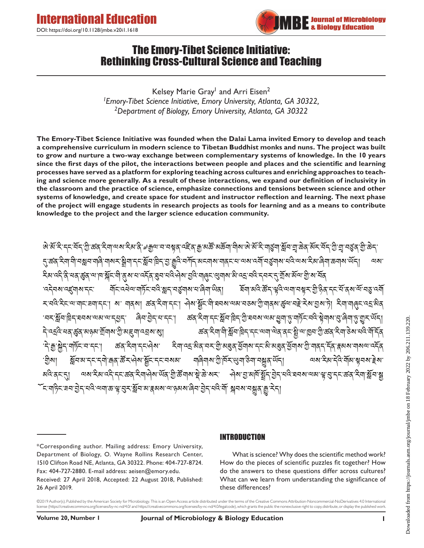

# The Emory-Tibet Science Initiative: Rethinking Cross-Cultural Science and Teaching

Kelsey Marie Gray<sup>1</sup> and Arri Eisen<sup>2</sup> *1Emory-Tibet Science Initiative, Emory University, Atlanta, GA 30322, 2Department of Biology, Emory University, Atlanta, GA 30322*

**The Emory-Tibet Science Initiative was founded when the Dalai Lama invited Emory to develop and teach a comprehensive curriculum in modern science to Tibetan Buddhist monks and nuns. The project was built to grow and nurture a two-way exchange between complementary systems of knowledge. In the 10 years since the first days of the pilot, the interactions between people and places and the scientific and learning processes have served as a platform for exploring teaching across cultures and enriching approaches to teaching and science more generally. As a result of these interactions, we expand our definition of inclusivity in the classroom and the practice of science, emphasize connections and tensions between science and other systems of knowledge, and create space for student and instructor reflection and learning. The next phase of the project will engage students in research projects as tools for learning and as a means to contribute knowledge to the project and the larger science education community.**

<u>৾</u>ଊୖୖ୕ଽୖ୳ଽୖଽଽ୳ୢୖଈୖ୕୕ଌ୕ୡୖ୲ଽ୴୴ଌ୲ୖଽ୶ୖୡ୕୕୷୶୴୳୴ୡୡ୕୳ୖଽଽ୳୕ୢଌ୕୲ଌ୲ଌୖ୕୴ୖ୴ଌ୲ଊୖଽ୲ଽ୴ୡ୕୴ୖୄୄୡ୲ଽ୲୴ଌୖଽ୳ଽ୵ଽ୲ଽୖ୳ଽ୲ୖୢ୴୳ୡ୕ୡ୕ୣ୲ୖଌୖଽ ্ৰি:জৰ্ম্কৰা,ন্যান্মৰ নাৰ নাৰ নাৰ সম্ভিত হৈ প্ৰাৰ নাৰ নাৰ সম্ভিত কৰি নাৰ নাৰ সম্ভিত কৰি নাৰ নাৰ নাৰ নাৰ নাৰ না ২িম নেই ন্বী ন্বাৰ্জুৰ নাম স্ক্ৰীন নীত্ৰ সানা নৰ্দৰ ব্ৰাৰান নিৰ্বাৰ্ত নাৰ্বি নাৰ্বি নিৰ্বাৰ্ত নেতা নিৰ্বাৰা স্থান সৈতি ་འདེབས་འRགས་དང་ གོང་འཕེལ་གཏོང་བའི་:ད་བ9གས་པ་ཞིག་ཡིན། ཐོག་མའི་ཚ7ད་Uའི་ལག་བ3ར་<ི་ཉིན་དང་པོ་ནས་ལོ་བW་འགོ *ར་བའི་རིང་ལ*་གང་<code>ᡜག་དང་། ས་ གནས། ಹَན་རིག་དང་། ਐས་རྲོང་मै་ঘབམ་ལམ་བᢌས་ཀྱི་གནས་རྱེལ་བརྲེ་རེས་བྱས་ரེ། རིག་གُེལུང་འབྲ་མིན</code> ་བར་སྲོབ་རེད་རབས་ལས་ལ་དབྱད་ ଵིབ་བྱེད་པ་དང་། ಹོན་རིག་དང་སྲོབ་རེབྲ៝་རུབར་ལམ་ལུམ་་བྱོད་བའི་སྱིགས་བུ་ଵིག་བྱ་རྱར་ལོད། དེ་འPའི་ཕན་Hན་མཉམ་Qོགས་+ི་མaག་འbས་c། ཚན་རིག་གི་:ོབ་@ིད་དང་ལག་ལེན་ནང་dི་ལ་eབ་+ི་ཚན་རིག་ཅེས་པའི་གོ་དོན ་དེ་2་fེད་གཏོང་བ་དང་། ཚན་རིག་དང་ཤེས་ རིག་འP་མིན་བར་<ི་མLན་gོགས་དང་མི་མLན་gོགས་+ི་གནད་དོན་hམས་གསལ་འདོན <u>নাৰিনাৰ স্ৰীড়া বিশ্লবিনাৰ স্মৰ মূৰে বিজ্ঞা</u>ন আৰু বিজ্ঞানী আৰু প্ৰয়ন কৰি বিজ্ঞা <u>য়৾ঀড়ৼৼঀৣ</u><br>য়৾ঀড়ৼৼঀৢ ོང་ག਼ੁਨੇ਼ੇऽ་རབ་ऄॖॖ॓ऽ་པའི་ལག་க་ལུ་བུར་སྲོབ་མ་རར་མས་ལ་འུམས་ୡེབ་ऄॖऽ་པའི་གོ་ སྐབས་བསྱུན་རྱ་རེད།

\*Corresponding author. Mailing address: Emory University, Department of Biology, O. Wayne Rollins Research Center, 1510 Clifton Road NE, Atlanta, GA 30322. Phone: 404-727-8724. Fax: 404-727-2880. E-mail address: aeisen@emory.edu. Received: 27 April 2018, Accepted: 22 August 2018, Published: 26 April 2019.

### INTRODUCTION

What is science? Why does the scientific method work? How do the pieces of scientific puzzles fit together? How do the answers to these questions differ across cultures? What can we learn from understanding the significance of these differences?

©2019 Author(s). Published by the American Society for Microbiology. This is an Open Access article distributed under the terms of the Creative Commons Attribution-Noncommercial-NoDerivatives 4.0 International license (<https://creativecommons.org/licenses/by-nc-nd/4.0/>and [https://creativecommons.org/licenses/by-nc-nd/4.0/legalcode\)](https://creativecommons.org/licenses/by-nc-nd/4.0/legalcode), which grants the public the nonexclusive right to copy, distribute, or display the published wor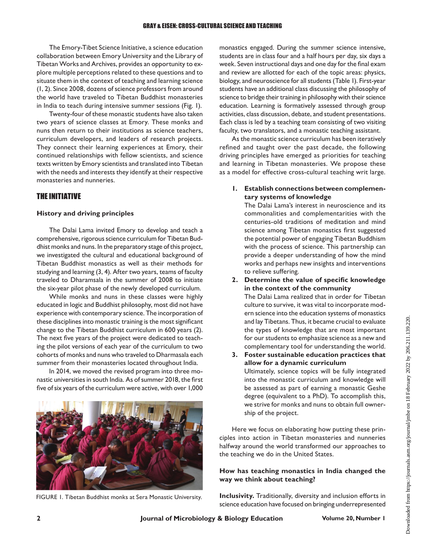The Emory-Tibet Science Initiative, a science education collaboration between Emory University and the Library of Tibetan Works and Archives, provides an opportunity to explore multiple perceptions related to these questions and to situate them in the context of teaching and learning science (1, 2). Since 2008, dozens of science professors from around the world have traveled to Tibetan Buddhist monasteries in India to teach during intensive summer sessions (Fig. 1).

Twenty-four of these monastic students have also taken two years of science classes at Emory. These monks and nuns then return to their institutions as science teachers, curriculum developers, and leaders of research projects. They connect their learning experiences at Emory, their continued relationships with fellow scientists, and science texts written by Emory scientists and translated into Tibetan with the needs and interests they identify at their respective monasteries and nunneries.

### THE INITIATIVE

#### **History and driving principles**

The Dalai Lama invited Emory to develop and teach a comprehensive, rigorous science curriculum for Tibetan Buddhist monks and nuns. In the preparatory stage of this project, we investigated the cultural and educational background of Tibetan Buddhist monastics as well as their methods for studying and learning (3, 4). After two years, teams of faculty traveled to Dharamsala in the summer of 2008 to initiate the six-year pilot phase of the newly developed curriculum.

While monks and nuns in these classes were highly educated in logic and Buddhist philosophy, most did not have experience with contemporary science. The incorporation of these disciplines into monastic training is the most significant change to the Tibetan Buddhist curriculum in 600 years (2). The next five years of the project were dedicated to teaching the pilot versions of each year of the curriculum to two cohorts of monks and nuns who traveled to Dharmasala each summer from their monasteries located throughout India.

In 2014, we moved the revised program into three monastic universities in south India. As of summer 2018, the first five of six years of the curriculum were active, with over 1,000



FIGURE 1. Tibetan Buddhist monks at Sera Monastic University.

monastics engaged. During the summer science intensive, students are in class four and a half hours per day, six days a week. Seven instructional days and one day for the final exam and review are allotted for each of the topic areas: physics, biology, and neuroscience for all students (Table 1). First-year students have an additional class discussing the philosophy of science to bridge their training in philosophy with their science education. Learning is formatively assessed through group activities, class discussion, debate, and student presentations. Each class is led by a teaching team consisting of two visiting faculty, two translators, and a monastic teaching assistant.

As the monastic science curriculum has been iteratively refined and taught over the past decade, the following driving principles have emerged as priorities for teaching and learning in Tibetan monasteries. We propose these as a model for effective cross-cultural teaching writ large.

#### **1. Establish connections between complementary systems of knowledge**

The Dalai Lama's interest in neuroscience and its commonalities and complementarities with the centuries-old traditions of meditation and mind science among Tibetan monastics first suggested the potential power of engaging Tibetan Buddhism with the process of science. This partnership can provide a deeper understanding of how the mind works and perhaps new insights and interventions to relieve suffering.

**2. Determine the value of specific knowledge in the context of the community**

The Dalai Lama realized that in order for Tibetan culture to survive, it was vital to incorporate modern science into the education systems of monastics and lay Tibetans. Thus, it became crucial to evaluate the types of knowledge that are most important for our students to emphasize science as a new and complementary tool for understanding the world.

**3. Foster sustainable education practices that allow for a dynamic curriculum** Ultimately, science topics will be fully integrated into the monastic curriculum and knowledge will be assessed as part of earning a monastic Geshe degree (equivalent to a PhD). To accomplish this,

we strive for monks and nuns to obtain full ownership of the project.

Here we focus on elaborating how putting these principles into action in Tibetan monasteries and nunneries halfway around the world transformed our approaches to the teaching we do in the United States.

#### **How has teaching monastics in India changed the way we think about teaching?**

**Inclusivity.** Traditionally, diversity and inclusion efforts in science education have focused on bringing underrepresented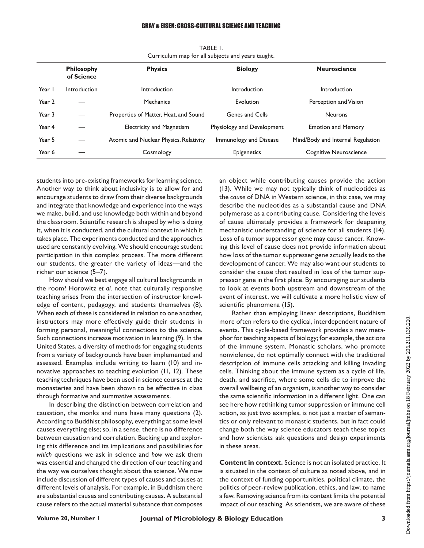|        | <b>Philosophy</b><br>of Science | <b>Physics</b>                         | <b>Biology</b>             | <b>Neuroscience</b>               |
|--------|---------------------------------|----------------------------------------|----------------------------|-----------------------------------|
| Year I | Introduction                    | Introduction                           | <b>Introduction</b>        | Introduction                      |
| Year 2 |                                 | Mechanics                              | Evolution                  | Perception and Vision             |
| Year 3 |                                 | Properties of Matter, Heat, and Sound  | Genes and Cells            | <b>Neurons</b>                    |
| Year 4 |                                 | <b>Electricity and Magnetism</b>       | Physiology and Development | <b>Emotion and Memory</b>         |
| Year 5 |                                 | Atomic and Nuclear Physics, Relativity | Immunology and Disease     | Mind/Body and Internal Regulation |
| Year 6 |                                 | Cosmology                              | <b>Epigenetics</b>         | Cognitive Neuroscience            |

TABLE 1. Curriculum map for all subjects and years taught.

students into pre-existing frameworks for learning science. Another way to think about inclusivity is to allow for and encourage students to draw from their diverse backgrounds and integrate that knowledge and experience into the ways we make, build, and use knowledge both within and beyond the classroom. Scientific research is shaped by who is doing it, when it is conducted, and the cultural context in which it takes place. The experiments conducted and the approaches used are constantly evolving. We should encourage student participation in this complex process. The more different our students, the greater the variety of ideas—and the richer our science (5–7).

How should we best engage all cultural backgrounds in the room? Horowitz *et al.* note that culturally responsive teaching arises from the intersection of instructor knowledge of content, pedagogy, and students themselves (8). When each of these is considered in relation to one another, instructors may more effectively guide their students in forming personal, meaningful connections to the science. Such connections increase motivation in learning (9). In the United States, a diversity of methods for engaging students from a variety of backgrounds have been implemented and assessed. Examples include writing to learn (10) and innovative approaches to teaching evolution (11, 12). These teaching techniques have been used in science courses at the monasteries and have been shown to be effective in class through formative and summative assessments.

In describing the distinction between correlation and causation, the monks and nuns have many questions (2). According to Buddhist philosophy, everything at some level causes everything else; so, in a sense, there is no difference between causation and correlation. Backing up and exploring this difference and its implications and possibilities for *which* questions we ask in science and *how* we ask them was essential and changed the direction of our teaching and the way we ourselves thought about the science. We now include discussion of different types of causes and causes at different levels of analysis. For example, in Buddhism there are substantial causes and contributing causes. A substantial cause refers to the actual material substance that composes

an object while contributing causes provide the action (13). While we may not typically think of nucleotides as the *cause* of DNA in Western science, in this case, we may describe the nucleotides as a substantial cause and DNA polymerase as a contributing cause. Considering the levels of cause ultimately provides a framework for deepening mechanistic understanding of science for all students (14). Loss of a tumor suppressor gene may cause cancer. Knowing this level of cause does not provide information about how loss of the tumor suppresser gene actually leads to the development of cancer. We may also want our students to consider the cause that resulted in loss of the tumor suppressor gene in the first place. By encouraging our students to look at events both upstream and downstream of the event of interest, we will cultivate a more holistic view of scientific phenomena (15).

Rather than employing linear descriptions, Buddhism more often refers to the cyclical, interdependent nature of events. This cycle-based framework provides a new metaphor for teaching aspects of biology; for example, the actions of the immune system. Monastic scholars, who promote nonviolence, do not optimally connect with the traditional description of immune cells attacking and killing invading cells. Thinking about the immune system as a cycle of life, death, and sacrifice, where some cells die to improve the overall wellbeing of an organism, is another way to consider the same scientific information in a different light. One can see here how rethinking tumor suppression or immune cell action, as just two examples, is not just a matter of semantics or only relevant to monastic students, but in fact could change both the way science educators teach these topics and how scientists ask questions and design experiments in these areas.

**Content in context.** Science is not an isolated practice. It is situated in the context of culture as noted above, and in the context of funding opportunities, political climate, the politics of peer-review publication, ethics, and law, to name a few. Removing science from its context limits the potential impact of our teaching. As scientists, we are aware of these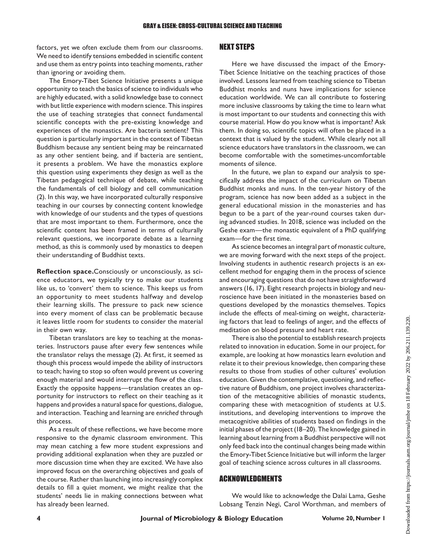factors, yet we often exclude them from our classrooms. We need to identify tensions embedded in scientific content and use them as entry points into teaching moments, rather than ignoring or avoiding them.

The Emory-Tibet Science Initiative presents a unique opportunity to teach the basics of science to individuals who are highly educated, with a solid knowledge base to connect with but little experience with modern science. This inspires the use of teaching strategies that connect fundamental scientific concepts with the pre-existing knowledge and experiences of the monastics. Are bacteria sentient? This question is particularly important in the context of Tibetan Buddhism because any sentient being may be reincarnated as any other sentient being, and if bacteria are sentient, it presents a problem. We have the monastics explore this question using experiments they design as well as the Tibetan pedagogical technique of debate, while teaching the fundamentals of cell biology and cell communication (2). In this way, we have incorporated culturally responsive teaching in our courses by connecting content knowledge with knowledge of our students and the types of questions that are most important to them. Furthermore, once the scientific content has been framed in terms of culturally relevant questions, we incorporate debate as a learning method, as this is commonly used by monastics to deepen their understanding of Buddhist texts.

**Reflection space.**Consciously or unconsciously, as science educators, we typically try to make our students like us, to 'convert' them to science. This keeps us from an opportunity to meet students halfway and develop their learning skills. The pressure to pack new science into every moment of class can be problematic because it leaves little room for students to consider the material in their own way.

Tibetan translators are key to teaching at the monasteries. Instructors pause after every few sentences while the translator relays the message (2). At first, it seemed as though this process would impede the ability of instructors to teach; having to stop so often would prevent us covering enough material and would interrupt the flow of the class. Exactly the opposite happens—translation creates an opportunity for instructors to reflect on their teaching as it happens and provides a natural space for questions, dialogue, and interaction. Teaching and learning are *enriched* through this process.

As a result of these reflections, we have become more responsive to the dynamic classroom environment. This may mean catching a few more student expressions and providing additional explanation when they are puzzled or more discussion time when they are excited. We have also improved focus on the overarching objectives and goals of the course. Rather than launching into increasingly complex details to fill a quiet moment, we might realize that the students' needs lie in making connections between what has already been learned.

#### NEXT STEPS

Here we have discussed the impact of the Emory-Tibet Science Initiative on the teaching practices of those involved. Lessons learned from teaching science to Tibetan Buddhist monks and nuns have implications for science education worldwide. We can all contribute to fostering more inclusive classrooms by taking the time to learn what is most important to our students and connecting this with course material. How do you know what is important? Ask them. In doing so, scientific topics will often be placed in a context that is valued by the student. While clearly not all science educators have translators in the classroom, we can become comfortable with the sometimes-uncomfortable moments of silence.

In the future, we plan to expand our analysis to specifically address the impact of the curriculum on Tibetan Buddhist monks and nuns. In the ten-year history of the program, science has now been added as a subject in the general educational mission in the monasteries and has begun to be a part of the year-round courses taken during advanced studies. In 2018, science was included on the Geshe exam—the monastic equivalent of a PhD qualifying exam—for the first time.

As science becomes an integral part of monastic culture, we are moving forward with the next steps of the project. Involving students in authentic research projects is an excellent method for engaging them in the process of science and encouraging questions that do not have straightforward answers (16, 17). Eight research projects in biology and neuroscience have been initiated in the monasteries based on questions developed by the monastics themselves. Topics include the effects of meal-timing on weight, characterizing factors that lead to feelings of anger, and the effects of meditation on blood pressure and heart rate.

There is also the potential to establish research projects related to innovation in education. Some in our project, for example, are looking at how monastics learn evolution and relate it to their previous knowledge, then comparing these results to those from studies of other cultures' evolution education. Given the contemplative, questioning, and reflective nature of Buddhism, one project involves characterization of the metacognitive abilities of monastic students, comparing these with metacognition of students at U.S. institutions, and developing interventions to improve the metacognitive abilities of students based on findings in the initial phases of the project (18–20). The knowledge gained in learning about learning from a Buddhist perspective will not only feed back into the continual changes being made within the Emory-Tibet Science Initiative but will inform the larger goal of teaching science across cultures in all classrooms.

#### ACKNOWLEDGMENTS

We would like to acknowledge the Dalai Lama, Geshe Lobsang Tenzin Negi, Carol Worthman, and members of